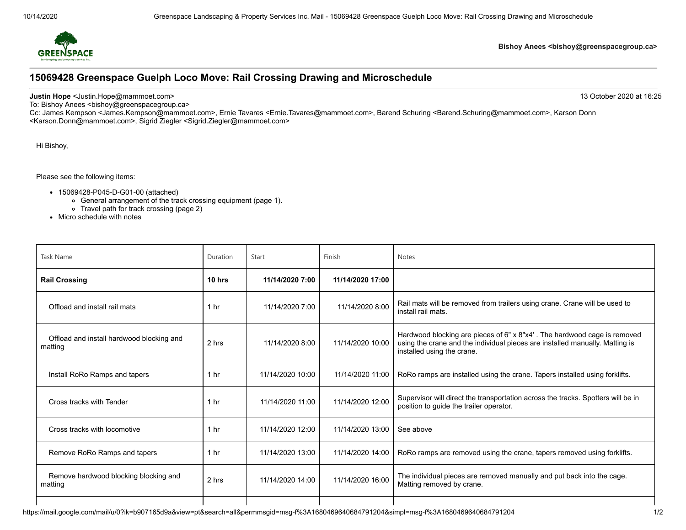

## **Bishoy Anees <bishoy@greenspacegroup.ca>**

## **15069428 Greenspace Guelph Loco Move: Rail Crossing Drawing and Microschedule**

**Justin Hope** <Justin.Hope@mammoet.com> 13 October 2020 at 16:25

To: Bishoy Anees <bishoy@greenspacegroup.ca>

Cc: James Kempson <James.Kempson@mammoet.com>, Ernie Tavares <Ernie.Tavares@mammoet.com>, Barend Schuring <Barend.Schuring@mammoet.com>, Karson Donn <Karson.Donn@mammoet.com>, Sigrid Ziegler <Sigrid.Ziegler@mammoet.com>

Hi Bishoy,

Please see the following items:

- 15069428-P045-D-G01-00 (attached)
	- General arrangement of the track crossing equipment (page 1).
	- Travel path for track crossing (page 2)
- Micro schedule with notes

| <b>Task Name</b>                                     | Duration        | Start            | Finish           | <b>Notes</b>                                                                                                                                                                           |
|------------------------------------------------------|-----------------|------------------|------------------|----------------------------------------------------------------------------------------------------------------------------------------------------------------------------------------|
| <b>Rail Crossing</b>                                 | 10 hrs          | 11/14/2020 7:00  | 11/14/2020 17:00 |                                                                                                                                                                                        |
| Offload and install rail mats                        | 1 hr            | 11/14/2020 7:00  | 11/14/2020 8:00  | Rail mats will be removed from trailers using crane. Crane will be used to<br>install rail mats.                                                                                       |
| Offload and install hardwood blocking and<br>matting | 2 hrs           | 11/14/2020 8:00  | 11/14/2020 10:00 | Hardwood blocking are pieces of 6" x 8"x4'. The hardwood cage is removed<br>using the crane and the individual pieces are installed manually. Matting is<br>installed using the crane. |
| Install RoRo Ramps and tapers                        | 1 <sub>hr</sub> | 11/14/2020 10:00 | 11/14/2020 11:00 | RoRo ramps are installed using the crane. Tapers installed using forklifts.                                                                                                            |
| Cross tracks with Tender                             | 1 <sub>hr</sub> | 11/14/2020 11:00 | 11/14/2020 12:00 | Supervisor will direct the transportation across the tracks. Spotters will be in<br>position to guide the trailer operator.                                                            |
| Cross tracks with locomotive                         | 1 <sub>hr</sub> | 11/14/2020 12:00 | 11/14/2020 13:00 | See above                                                                                                                                                                              |
| Remove RoRo Ramps and tapers                         | 1 <sub>hr</sub> | 11/14/2020 13:00 | 11/14/2020 14:00 | RoRo ramps are removed using the crane, tapers removed using forklifts.                                                                                                                |
| Remove hardwood blocking blocking and<br>matting     | 2 hrs           | 11/14/2020 14:00 | 11/14/2020 16:00 | The individual pieces are removed manually and put back into the cage.<br>Matting removed by crane.                                                                                    |
|                                                      |                 |                  |                  |                                                                                                                                                                                        |